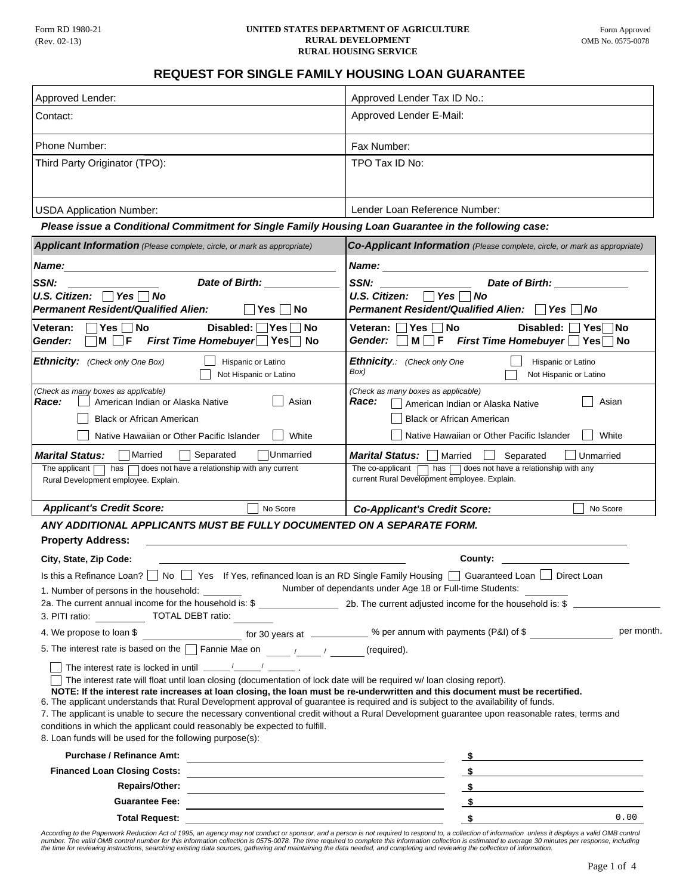#### Form RD 1980-21 **UNITED STATES DEPARTMENT OF AGRICULTURE RURAL DEVELOPMENT** OMB No. 0575-0078 **RURAL HOUSING SERVICE**

### **REQUEST FOR SINGLE FAMILY HOUSING LOAN GUARANTEE**

| <b>REQUEST FOR SINGLE FAMILY HOUSING LOAN GUARANTEE</b>                                                                                                                                                                                                                                                                                                                                                                                                                                                                                                                                                                                                                                                                                                                    |                                                                                                                                                                                                                                                                                                                                           |
|----------------------------------------------------------------------------------------------------------------------------------------------------------------------------------------------------------------------------------------------------------------------------------------------------------------------------------------------------------------------------------------------------------------------------------------------------------------------------------------------------------------------------------------------------------------------------------------------------------------------------------------------------------------------------------------------------------------------------------------------------------------------------|-------------------------------------------------------------------------------------------------------------------------------------------------------------------------------------------------------------------------------------------------------------------------------------------------------------------------------------------|
| Approved Lender:                                                                                                                                                                                                                                                                                                                                                                                                                                                                                                                                                                                                                                                                                                                                                           | Approved Lender Tax ID No.:                                                                                                                                                                                                                                                                                                               |
| Contact:                                                                                                                                                                                                                                                                                                                                                                                                                                                                                                                                                                                                                                                                                                                                                                   | Approved Lender E-Mail:                                                                                                                                                                                                                                                                                                                   |
| <b>Phone Number:</b>                                                                                                                                                                                                                                                                                                                                                                                                                                                                                                                                                                                                                                                                                                                                                       | Fax Number:                                                                                                                                                                                                                                                                                                                               |
| Third Party Originator (TPO):                                                                                                                                                                                                                                                                                                                                                                                                                                                                                                                                                                                                                                                                                                                                              | TPO Tax ID No:                                                                                                                                                                                                                                                                                                                            |
| <b>USDA Application Number:</b>                                                                                                                                                                                                                                                                                                                                                                                                                                                                                                                                                                                                                                                                                                                                            | Lender Loan Reference Number:                                                                                                                                                                                                                                                                                                             |
| Please issue a Conditional Commitment for Single Family Housing Loan Guarantee in the following case:                                                                                                                                                                                                                                                                                                                                                                                                                                                                                                                                                                                                                                                                      |                                                                                                                                                                                                                                                                                                                                           |
| <b>Applicant Information</b> (Please complete, circle, or mark as appropriate)                                                                                                                                                                                                                                                                                                                                                                                                                                                                                                                                                                                                                                                                                             | Co-Applicant Information (Please complete, circle, or mark as appropriate)                                                                                                                                                                                                                                                                |
| Name:                                                                                                                                                                                                                                                                                                                                                                                                                                                                                                                                                                                                                                                                                                                                                                      |                                                                                                                                                                                                                                                                                                                                           |
| Date of Birth:<br>SSN:<br>U.S. Citizen: $\Box$ Yes $\Box$ No<br><b>Permanent Resident/Qualified Alien:</b><br>No<br>Yes.                                                                                                                                                                                                                                                                                                                                                                                                                                                                                                                                                                                                                                                   | Date of Birth: Note of Birth:<br>SSN:<br>U.S. Citizen: $\Box$ Yes $\Box$<br>No<br><b>Permanent Resident/Qualified Alien:</b> □ Yes<br><b>No</b>                                                                                                                                                                                           |
| Yes No<br>Disabled:<br>Veteran:<br>∣Yes<br>No<br>M <sub>1</sub><br>$\Box$ F<br>First Time Homebuyer Yes No<br>Gender:                                                                                                                                                                                                                                                                                                                                                                                                                                                                                                                                                                                                                                                      | No<br>Disabled:<br>Veteran:<br> Yes<br>Yesl<br> No<br>Gender:<br>$M \Box F$ First Time Homebuyer $\Box$ Yes $\Box$<br>No                                                                                                                                                                                                                  |
| Ethnicity: (Check only One Box)<br>Hispanic or Latino<br>Not Hispanic or Latino                                                                                                                                                                                                                                                                                                                                                                                                                                                                                                                                                                                                                                                                                            | <b>Ethnicity.:</b> (Check only One<br>Hispanic or Latino<br>Box)<br>Not Hispanic or Latino                                                                                                                                                                                                                                                |
| Race:<br>American Indian or Alaska Native<br>Asian<br><b>Black or African American</b><br>Native Hawaiian or Other Pacific Islander<br>White<br><b>Marital Status:</b><br> Married<br>Separated<br><b>Unmarried</b><br>has a does not have a relationship with any current<br>The applicant<br>Rural Development employee. Explain.                                                                                                                                                                                                                                                                                                                                                                                                                                        | Race:<br>Asian<br>American Indian or Alaska Native<br><b>Black or African American</b><br>White<br>Native Hawaiian or Other Pacific Islander<br><b>Marital Status:</b>   Married<br>Separated<br>Unmarried<br>has $\Box$ does not have a relationship with any<br>The co-applicant $\Box$<br>current Rural Development employee. Explain. |
| <b>Applicant's Credit Score:</b><br>No Score                                                                                                                                                                                                                                                                                                                                                                                                                                                                                                                                                                                                                                                                                                                               | No Score<br><b>Co-Applicant's Credit Score:</b>                                                                                                                                                                                                                                                                                           |
| ANY ADDITIONAL APPLICANTS MUST BE FULLY DOCUMENTED ON A SEPARATE FORM.<br><b>Property Address:</b><br>City, State, Zip Code:                                                                                                                                                                                                                                                                                                                                                                                                                                                                                                                                                                                                                                               | County:                                                                                                                                                                                                                                                                                                                                   |
| Is this a Refinance Loan? No Ves If Yes, refinanced loan is an RD Single Family Housing Guaranteed Loan Direct Loan<br>1. Number of persons in the household: ________<br>3. PITI ratio: ______________ TOTAL DEBT ratio:                                                                                                                                                                                                                                                                                                                                                                                                                                                                                                                                                  | Number of dependants under Age 18 or Full-time Students:                                                                                                                                                                                                                                                                                  |
|                                                                                                                                                                                                                                                                                                                                                                                                                                                                                                                                                                                                                                                                                                                                                                            | per month.                                                                                                                                                                                                                                                                                                                                |
| 5. The interest rate is based on the $\Box$ Fannie Mae on $\Box$                                                                                                                                                                                                                                                                                                                                                                                                                                                                                                                                                                                                                                                                                                           |                                                                                                                                                                                                                                                                                                                                           |
| The interest rate is locked in until $\frac{1}{2}$ $\frac{1}{2}$ $\frac{1}{2}$ .<br>The interest rate will float until loan closing (documentation of lock date will be required w/loan closing report).<br>NOTE: If the interest rate increases at loan closing, the loan must be re-underwritten and this document must be recertified.<br>6. The applicant understands that Rural Development approval of guarantee is required and is subject to the availability of funds.<br>7. The applicant is unable to secure the necessary conventional credit without a Rural Development guarantee upon reasonable rates, terms and<br>conditions in which the applicant could reasonably be expected to fulfill.<br>8. Loan funds will be used for the following purpose(s): |                                                                                                                                                                                                                                                                                                                                           |
| <b>Purchase / Refinance Amt:</b>                                                                                                                                                                                                                                                                                                                                                                                                                                                                                                                                                                                                                                                                                                                                           | $\sim$ 5                                                                                                                                                                                                                                                                                                                                  |
| <u> 1989 - Johann Stein, marwolaethau a bhann an t-Amhainn an t-Amhainn an t-Amhainn an t-Amhainn an t-Amhainn a</u>                                                                                                                                                                                                                                                                                                                                                                                                                                                                                                                                                                                                                                                       | $\sim$ 5 and 5 and 6 and 6 and 6 and 6 and 6 and 6 and 6 and 6 and 6 and 6 and 6 and 6 and 6 and 6 and 6 and 6 and 6 and 6 and 6 and 6 and 6 and 6 and 6 and 6 and 6 and 6 and 6 and 6 and 6 and 6 and 6 and 6 and 6 and 6 and                                                                                                            |
| <b>Repairs/Other:</b><br><u> 1989 - Johann Stoff, amerikansk politiker (d. 1989)</u>                                                                                                                                                                                                                                                                                                                                                                                                                                                                                                                                                                                                                                                                                       | $\sim$                                                                                                                                                                                                                                                                                                                                    |
|                                                                                                                                                                                                                                                                                                                                                                                                                                                                                                                                                                                                                                                                                                                                                                            | $\sim$                                                                                                                                                                                                                                                                                                                                    |
| Total Request: <u>contract and the contract of the contract of the contract of the contract of the contract of the contract of the contract of the contract of the contract of the contract of the contract of the contract of t</u>                                                                                                                                                                                                                                                                                                                                                                                                                                                                                                                                       | 0.00                                                                                                                                                                                                                                                                                                                                      |

According to the Paperwork Reduction Act of 1995, an agency may not conduct or sponsor, and a person is not required to respond to, a collection of information unless it displays a valid OMB control<br>number. The valid OMB c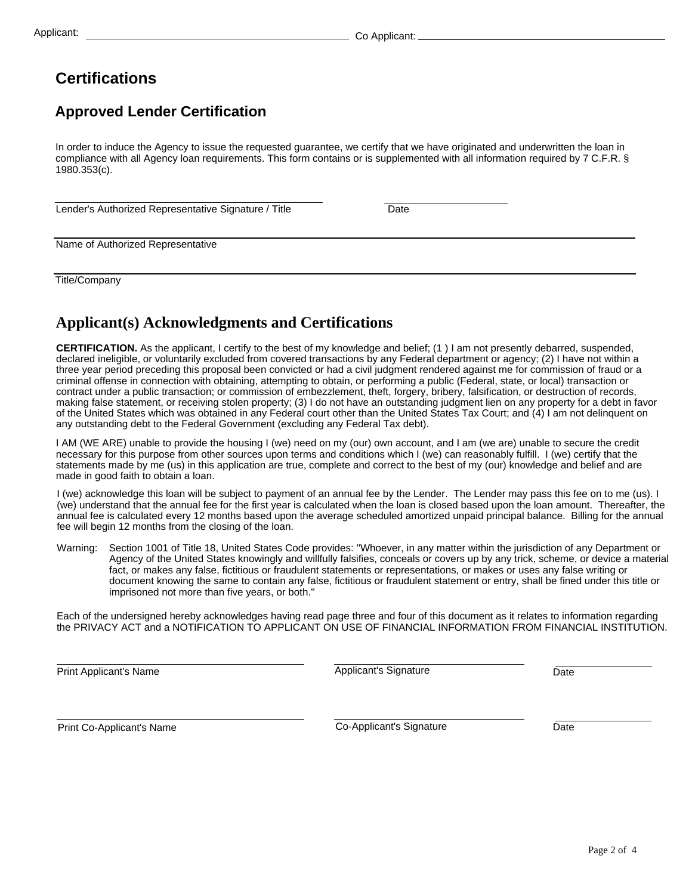# **Certifications**

## **Approved Lender Certification**

In order to induce the Agency to issue the requested guarantee, we certify that we have originated and underwritten the loan in compliance with all Agency loan requirements. This form contains or is supplemented with all information required by 7 C.F.R. § 1980.353(c).

Lender's Authorized Representative Signature / Title

**Date** 

Name of Authorized Representative

Title/Company

### **Applicant(s) Acknowledgments and Certifications**

**CERTIFICATION.** As the applicant, I certify to the best of my knowledge and belief; (1 ) I am not presently debarred, suspended, declared ineligible, or voluntarily excluded from covered transactions by any Federal department or agency; (2) I have not within a three year period preceding this proposal been convicted or had a civil judgment rendered against me for commission of fraud or a criminal offense in connection with obtaining, attempting to obtain, or performing a public (Federal, state, or local) transaction or contract under a public transaction; or commission of embezzlement, theft, forgery, bribery, falsification, or destruction of records, making false statement, or receiving stolen property; (3) I do not have an outstanding judgment lien on any property for a debt in favor of the United States which was obtained in any Federal court other than the United States Tax Court; and (4) I am not delinquent on any outstanding debt to the Federal Government (excluding any Federal Tax debt).

I AM (WE ARE) unable to provide the housing I (we) need on my (our) own account, and I am (we are) unable to secure the credit necessary for this purpose from other sources upon terms and conditions which I (we) can reasonably fulfill. I (we) certify that the statements made by me (us) in this application are true, complete and correct to the best of my (our) knowledge and belief and are made in good faith to obtain a loan.

I (we) acknowledge this loan will be subject to payment of an annual fee by the Lender. The Lender may pass this fee on to me (us). I (we) understand that the annual fee for the first year is calculated when the loan is closed based upon the loan amount. Thereafter, the annual fee is calculated every 12 months based upon the average scheduled amortized unpaid principal balance. Billing for the annual fee will begin 12 months from the closing of the loan.

Warning: Section 1001 of Title 18, United States Code provides: ''Whoever, in any matter within the jurisdiction of any Department or Agency of the United States knowingly and willfully falsifies, conceals or covers up by any trick, scheme, or device a material fact, or makes any false, fictitious or fraudulent statements or representations, or makes or uses any false writing or document knowing the same to contain any false, fictitious or fraudulent statement or entry, shall be fined under this title or imprisoned not more than five years, or both.''

Each of the undersigned hereby acknowledges having read page three and four of this document as it relates to information regarding the PRIVACY ACT and a NOTIFICATION TO APPLICANT ON USE OF FINANCIAL INFORMATION FROM FINANCIAL INSTITUTION.

Print Applicant's Name **Date Date Principle Applicant's Signature Date Date** Applicant's Signature

Print Co-Applicant's Name **Date Co-Applicant's Secure Co-Applicant's Signature** Date

Co-Applicant's Signature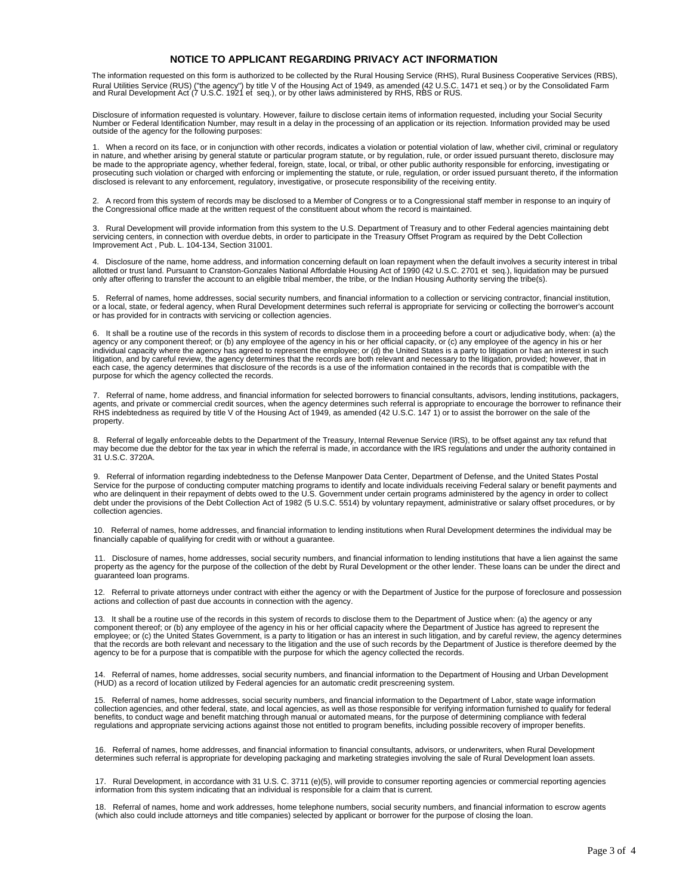#### **NOTICE TO APPLICANT REGARDING PRIVACY ACT INFORMATION**

The information requested on this form is authorized to be collected by the Rural Housing Service (RHS), Rural Business Cooperative Services (RBS), Rural Utilities Service (RUS) ("the agency") by title V of the Housing Act of 1949, as amended (42 U.S.C. 1471 et seq.) or by the Consolidated Farm<br>and Rural Development Act (7 U.S.C. 1921 et seq.), or by other laws admin

Disclosure of information requested is voluntary. However, failure to disclose certain items of information requested, including your Social Security Number or Federal Identification Number, may result in a delay in the processing of an application or its rejection. Information provided may be used outside of the agency for the following purposes:

1. When a record on its face, or in conjunction with other records, indicates a violation or potential violation of law, whether civil, criminal or regulatory in nature, and whether arising by general statute or particular program statute, or by regulation, rule, or order issued pursuant thereto, disclosure may be made to the appropriate agency, whether federal, foreign, state, local, or tribal, or other public authority responsible for enforcing, investigating or prosecuting such violation or charged with enforcing or implementing the statute, or rule, regulation, or order issued pursuant thereto, if the information disclosed is relevant to any enforcement, regulatory, investigative, or prosecute responsibility of the receiving entity.

2. A record from this system of records may be disclosed to a Member of Congress or to a Congressional staff member in response to an inquiry of the Congressional office made at the written request of the constituent about whom the record is maintained.

3. Rural Development will provide information from this system to the U.S. Department of Treasury and to other Federal agencies maintaining debt<br>servicing centers, in connection with overdue debts, in order to participat

4. Disclosure of the name, home address, and information concerning default on loan repayment when the default involves a security interest in tribal allotted or trust land. Pursuant to Cranston-Gonzales National Affordable Housing Act of 1990 (42 U.S.C. 2701 et seq.), liquidation may be pursued only after offering to transfer the account to an eligible tribal member, the tribe, or the Indian Housing Authority serving the tribe(s).

5. Referral of names, home addresses, social security numbers, and financial information to a collection or servicing contractor, financial institution, or a local, state, or federal agency, when Rural Development determines such referral is appropriate for servicing or collecting the borrower's account or has provided for in contracts with servicing or collection agencies.

6. It shall be a routine use of the records in this system of records to disclose them in a proceeding before a court or adjudicative body, when: (a) the agency or any component thereof; or (b) any employee of the agency in his or her official capacity, or (c) any employee of the agency in his or her individual capacity where the agency has agreed to represent the employee; or (d) the United States is a party to litigation or has an interest in such litigation, and by careful review, the agency determines that the records are both relevant and necessary to the litigation, provided; however, that in<br>each case, the agency determines that disclosure of the records is a u purpose for which the agency collected the records.

7. Referral of name, home address, and financial information for selected borrowers to financial consultants, advisors, lending institutions, packagers, agents, and private or commercial credit sources, when the agency determines such referral is appropriate to encourage the borrower to refinance their<br>RHS indebtedness as required by title V of the Housing Act of 1949, as property.

8. Referral of legally enforceable debts to the Department of the Treasury, Internal Revenue Service (IRS), to be offset against any tax refund that may become due the debtor for the tax year in which the referral is made, in accordance with the IRS regulations and under the authority contained in 31 U.S.C. 3720A.

9. Referral of information regarding indebtedness to the Defense Manpower Data Center, Department of Defense, and the United States Postal Service for the purpose of conducting computer matching programs to identify and locate individuals receiving Federal salary or benefit payments and<br>who are delinquent in their repayment of debts owed to the U.S. Governmen debt under the provisions of the Debt Collection Act of 1982 (5 U.S.C. 5514) by voluntary repayment, administrative or salary offset procedures, or by collection agencies.

10. Referral of names, home addresses, and financial information to lending institutions when Rural Development determines the individual may be financially capable of qualifying for credit with or without a guarantee.

11. Disclosure of names, home addresses, social security numbers, and financial information to lending institutions that have a lien against the same property as the agency for the purpose of the collection of the debt by Rural Development or the other lender. These loans can be under the direct and guaranteed loan programs.

12. Referral to private attorneys under contract with either the agency or with the Department of Justice for the purpose of foreclosure and possession actions and collection of past due accounts in connection with the agency.

13. It shall be a routine use of the records in this system of records to disclose them to the Department of Justice when: (a) the agency or any component thereof; or (b) any employee of the agency in his or her official capacity where the Department of Justice has agreed to represent the<br>employee; or (c) the United States Government, is a party to litigation or ha that the records are both relevant and necessary to the litigation and the use of such records by the Department of Justice is therefore deemed by the agency to be for a purpose that is compatible with the purpose for which the agency collected the records.

14. Referral of names, home addresses, social security numbers, and financial information to the Department of Housing and Urban Development (HUD) as a record of location utilized by Federal agencies for an automatic credit prescreening system.

15. Referral of names, home addresses, social security numbers, and financial information to the Department of Labor, state wage information collection agencies, and other federal, state, and local agencies, as well as those responsible for verifying information furnished to qualify for federal benefits, to conduct wage and benefit matching through manual or automated means, for the purpose of determining compliance with federal regulations and appropriate servicing actions against those not entitled to program benefits, including possible recovery of improper benefits.

16. Referral of names, home addresses, and financial information to financial consultants, advisors, or underwriters, when Rural Development determines such referral is appropriate for developing packaging and marketing strategies involving the sale of Rural Development loan assets.

17. Rural Development, in accordance with 31 U.S. C. 3711 (e)(5), will provide to consumer reporting agencies or commercial reporting agencies information from this system indicating that an individual is responsible for a claim that is current.

18. Referral of names, home and work addresses, home telephone numbers, social security numbers, and financial information to escrow agents (which also could include attorneys and title companies) selected by applicant or borrower for the purpose of closing the loan.